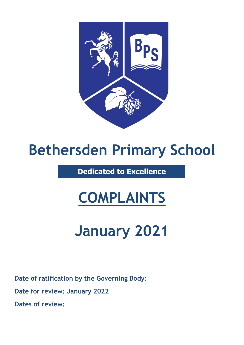

# **Bethersden Primary School**

**Dedicated to Excellence**

# **COMPLAINTS**

# **January 2021**

**Date of ratification by the Governing Body:**

**Date for review: January 2022**

**Dates of review:**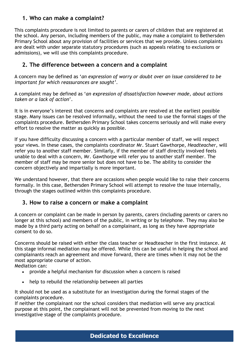## **1. Who can make a complaint?**

This complaints procedure is not limited to parents or carers of children that are registered at the school. Any person, including members of the public, may make a complaint to Bethersden Primary School about any provision of facilities or services that we provide. Unless complaints are dealt with under separate statutory procedures (such as appeals relating to exclusions or admissions), we will use this complaints procedure.

## **2. The difference between a concern and a complaint**

A concern may be defined as '*an expression of worry or doubt over an issue considered to be important for which reassurances are sought'*.

A complaint may be defined as '*an expression of dissatisfaction however made, about actions taken or a lack of action*'.

It is in everyone's interest that concerns and complaints are resolved at the earliest possible stage. Many issues can be resolved informally, without the need to use the formal stages of the complaints procedure. Bethersden Primary School takes concerns seriously and will make every effort to resolve the matter as quickly as possible.

If you have difficulty discussing a concern with a particular member of staff, we will respect your views. In these cases, the complaints coordinator Mr. Stuart Gawthorpe, *Headteacher*, will refer you to another staff member. Similarly, if the member of staff directly involved feels unable to deal with a concern, Mr. Gawthorpe will refer you to another staff member. The member of staff may be more senior but does not have to be. The ability to consider the concern objectively and impartially is more important.

We understand however, that there are occasions when people would like to raise their concerns formally. In this case, Bethersden Primary School will attempt to resolve the issue internally, through the stages outlined within this complaints procedure.

## **3. How to raise a concern or make a complaint**

A concern or complaint can be made in person by parents, carers (including parents or carers no longer at this school) and members of the public, in writing or by telephone. They may also be made by a third party acting on behalf on a complainant, as long as they have appropriate consent to do so.

Concerns should be raised with either the class teacher or Headteacher in the first instance. At this stage informal mediation may be offered. While this can be useful in helping the school and complainants reach an agreement and move forward, there are times when it may not be the most appropriate course of action.

Mediation can:

- provide a helpful mechanism for discussion when a concern is raised
- help to rebuild the relationship between all parties

It should not be used as a substitute for an investigation during the formal stages of the complaints procedure.

If neither the complainant nor the school considers that mediation will serve any practical purpose at this point, the complainant will not be prevented from moving to the next investigative stage of the complaints procedure.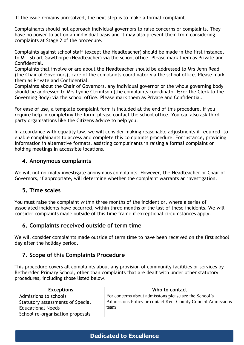If the issue remains unresolved, the next step is to make a formal complaint.

Complainants should not approach individual governors to raise concerns or complaints. They have no power to act on an individual basis and it may also prevent them from considering complaints at Stage 2 of the procedure.

Complaints against school staff (except the Headteacher) should be made in the first instance, to Mr. Stuart Gawthorpe (Headteacher) via the school office*.* Please mark them as Private and Confidential.

Complaints that involve or are about the Headteacher should be addressed to Mrs Jenn Read (the Chair of Governors), care of the complaints coordinator via the school office. Please mark them as Private and Confidential.

Complaints about the Chair of Governors, any individual governor or the whole governing body should be addressed to Mrs Lynne Clemitson (the complaints coordinator &/or the Clerk to the Governing Body) via the school office. Please mark them as Private and Confidential.

For ease of use, a template complaint form is included at the end of this procedure. If you require help in completing the form, please contact the school office. You can also ask third party organisations like the Citizens Advice to help you.

In accordance with equality law, we will consider making reasonable adjustments if required, to enable complainants to access and complete this complaints procedure. For instance, providing information in alternative formats, assisting complainants in raising a formal complaint or holding meetings in accessible locations.

## **4. Anonymous complaints**

We will not normally investigate anonymous complaints. However, the Headteacher or Chair of Governors, if appropriate, will determine whether the complaint warrants an investigation.

### **5. Time scales**

You must raise the complaint within three months of the incident or, where a series of associated incidents have occurred, within three months of the last of these incidents. We will consider complaints made outside of this time frame if exceptional circumstances apply.

## **6. Complaints received outside of term time**

We will consider complaints made outside of term time to have been received on the first school day after the holiday period.

## **7. Scope of this Complaints Procedure**

This procedure covers all complaints about any provision of community facilities or services by Bethersden Primary School, other than complaints that are dealt with under other statutory procedures, including those listed below.

| <b>Exceptions</b>                | Who to contact                                              |
|----------------------------------|-------------------------------------------------------------|
| Admissions to schools            | For concerns about admissions please see the School's       |
| Statutory assessments of Special | Admissions Policy or contact Kent County Council Admissions |
| <b>Educational Needs</b>         | team                                                        |
| School re-organisation proposals |                                                             |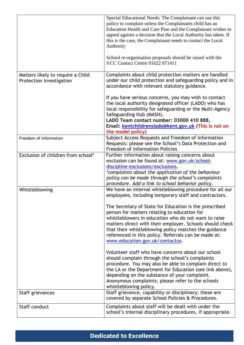|                                                               | Special Educational Needs: The Complainant can use this<br>policy to complain unless the Complainants child has an<br>Education Health and Care Plan and the Complainant wishes to<br>appeal against a decision that the Local Authority has taken. If<br>this is the case, the Complainant needs to contact the Local<br>Authority<br>School re-organisation proposals should be raised with the<br><b>KCC Contact Centre 01622 671411</b>                                                         |
|---------------------------------------------------------------|-----------------------------------------------------------------------------------------------------------------------------------------------------------------------------------------------------------------------------------------------------------------------------------------------------------------------------------------------------------------------------------------------------------------------------------------------------------------------------------------------------|
| Matters likely to require a Child<br>Protection Investigation | Complaints about child protection matters are handled<br>under our child protection and safeguarding policy and in<br>accordance with relevant statutory guidance.                                                                                                                                                                                                                                                                                                                                  |
|                                                               | If you have serious concerns, you may wish to contact<br>the local authority designated officer (LADO) who has<br>local responsibility for safeguarding or the Multi-Agency<br>Safeguarding Hub (MASH).<br>LADO Team contact number: 03000 410 888,<br>Email: kentchildrenslado@kent.gov.uk (This is not on<br>the model policy)                                                                                                                                                                    |
| Freedom of Information                                        | Subject Access Requests and Freedom of Information<br>Requests: please see the School's Data Protection and<br><b>Freedom of Information Policies</b>                                                                                                                                                                                                                                                                                                                                               |
| Exclusion of children from school*                            | Further information about raising concerns about<br>exclusion can be found at: www.gov.uk/school-<br>discipline-exclusions/exclusions.<br>*complaints about the application of the behaviour<br>policy can be made through the school's complaints<br>procedure. Add a link to school behavior policy.                                                                                                                                                                                              |
| Whistleblowing                                                | We have an internal whistleblowing procedure for all our<br>employees, including temporary staff and contractors.<br>The Secretary of State for Education is the prescribed<br>person for matters relating to education for<br>whistleblowers in education who do not want to raise<br>matters direct with their employer. Schools should check<br>that their whistleblowing policy matches the guidance<br>referenced in this policy. Referrals can be made at:<br>www.education.gov.uk/contactus. |
|                                                               | Volunteer staff who have concerns about our school<br>should complain through the school's complaints<br>procedure. You may also be able to complain direct to<br>the LA or the Department for Education (see link above),<br>depending on the substance of your complaint.<br>Anonymous complaints; please refer to the schools<br>whistleblowing policy.                                                                                                                                          |
| Staff grievances                                              | Staff grievance, capability or disciplinary; these are<br>covered by separate School Policies & Procedures.                                                                                                                                                                                                                                                                                                                                                                                         |
| Staff conduct                                                 | Complaints about staff will be dealt with under the<br>school's internal disciplinary procedures, if appropriate.                                                                                                                                                                                                                                                                                                                                                                                   |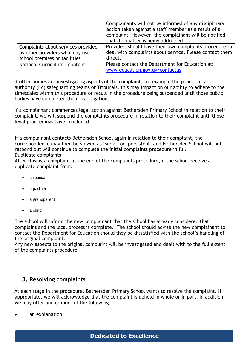|                                                                                                       | Complainants will not be informed of any disciplinary<br>action taken against a staff member as a result of a<br>complaint. However, the complainant will be notified<br>that the matter is being addressed. |
|-------------------------------------------------------------------------------------------------------|--------------------------------------------------------------------------------------------------------------------------------------------------------------------------------------------------------------|
| Complaints about services provided<br>by other providers who may use<br>school premises or facilities | Providers should have their own complaints procedure to<br>deal with complaints about service. Please contact them<br>direct.                                                                                |
| National Curriculum - content                                                                         | Please contact the Department for Education at:<br>www.education.gov.uk/contactus                                                                                                                            |

If other bodies are investigating aspects of the complaint, for example the police, local authority (LA) safeguarding teams or Tribunals, this may impact on our ability to adhere to the timescales within this procedure or result in the procedure being suspended until those public bodies have completed their investigations.

If a complainant commences legal action against Bethersden Primary School in relation to their complaint, we will suspend the complaints procedure in relation to their complaint until those legal proceedings have concluded.

If a complainant contacts Bethersden School again in relation to their complaint, the correspondence may then be viewed as 'serial' or 'persistent' and Bethersden School will not respond but will continue to complete the initial complaints procedure in full. Duplicate complaints

After closing a complaint at the end of the complaints procedure, if the school receive a duplicate complaint from:

- a spouse
- a partner
- a grandparent
- a child

The school will inform the new complainant that the school has already considered that complaint and the local process is complete. The school should advise the new complainant to contact the Department for Education should they be dissatisfied with the school's handling of the original complaint.

Any new aspects to the original complaint will be investigated and dealt with to the full extent of the complaints procedure.

### **8. Resolving complaints**

At each stage in the procedure, Bethersden Primary School wants to resolve the complaint. If appropriate, we will acknowledge that the complaint is upheld in whole or in part. In addition, we may offer one or more of the following:

an explanation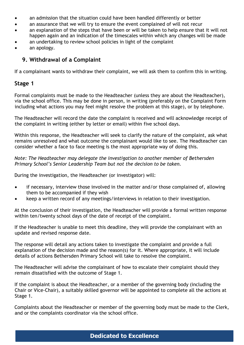- an admission that the situation could have been handled differently or better
- an assurance that we will try to ensure the event complained of will not recur
- an explanation of the steps that have been or will be taken to help ensure that it will not happen again and an indication of the timescales within which any changes will be made
- an undertaking to review school policies in light of the complaint
- an apology.

## **9. Withdrawal of a Complaint**

If a complainant wants to withdraw their complaint, we will ask them to confirm this in writing.

## **Stage 1**

Formal complaints must be made to the Headteacher (unless they are about the Headteacher), via the school office. This may be done in person, in writing (preferably on the Complaint Form including what actions you may feel might resolve the problem at this stage), or by telephone.

The Headteacher will record the date the complaint is received and will acknowledge receipt of the complaint in writing (either by letter or email) within five school days.

Within this response, the Headteacher will seek to clarify the nature of the complaint, ask what remains unresolved and what outcome the complainant would like to see. The Headteacher can consider whether a face to face meeting is the most appropriate way of doing this.

*Note: The Headteacher may delegate the investigation to another member of Bethersden Primary School's Senior Leadership Team but not the decision to be taken.*

During the investigation, the Headteacher (or investigator) will:

- if necessary, interview those involved in the matter and/or those complained of, allowing them to be accompanied if they wish
- keep a written record of any meetings/interviews in relation to their investigation.

At the conclusion of their investigation, the Headteacher will provide a formal written response within ten/twenty school days of the date of receipt of the complaint.

If the Headteacher is unable to meet this deadline, they will provide the complainant with an update and revised response date.

The response will detail any actions taken to investigate the complaint and provide a full explanation of the decision made and the reason(s) for it. Where appropriate, it will include details of actions Bethersden Primary School will take to resolve the complaint.

The Headteacher will advise the complainant of how to escalate their complaint should they remain dissatisfied with the outcome of Stage 1.

If the complaint is about the Headteacher, or a member of the governing body (including the Chair or Vice-Chair), a suitably skilled governor will be appointed to complete all the actions at Stage 1.

Complaints about the Headteacher or member of the governing body must be made to the Clerk, and or the complaints coordinator via the school office.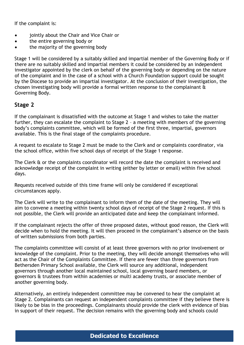If the complaint is:

- jointly about the Chair and Vice Chair or
- the entire governing body or
- the majority of the governing body

Stage 1 will be considered by a suitably skilled and impartial member of the Governing Body or if there are no suitably skilled and impartial members it could be considered by an independent investigator appointed by the clerk on behalf of the governing body or depending on the nature of the complaint and in the case of a school with a Church Foundation support could be sought by the Diocese to provide an impartial investigator. At the conclusion of their investigation, the chosen investigating body will provide a formal written response to the complainant & Governing Body.

## **Stage 2**

If the complainant is dissatisfied with the outcome at Stage 1 and wishes to take the matter further, they can escalate the complaint to Stage 2 – a meeting with members of the governing body's complaints committee, which will be formed of the first three, impartial, governors available. This is the final stage of the complaints procedure.

A request to escalate to Stage 2 must be made to the Clerk and or complaints coordinator, via the school office, within five school days of receipt of the Stage 1 response.

The Clerk & or the complaints coordinator will record the date the complaint is received and acknowledge receipt of the complaint in writing (either by letter or email) within five school days.

Requests received outside of this time frame will only be considered if exceptional circumstances apply.

The Clerk will write to the complainant to inform them of the date of the meeting. They will aim to convene a meeting within twenty school days of receipt of the Stage 2 request. If this is not possible, the Clerk will provide an anticipated date and keep the complainant informed.

If the complainant rejects the offer of three proposed dates, without good reason, the Clerk will decide when to hold the meeting. It will then proceed in the complainant's absence on the basis of written submissions from both parties.

The complaints committee will consist of at least three governors with no prior involvement or knowledge of the complaint. Prior to the meeting, they will decide amongst themselves who will act as the Chair of the Complaints Committee. If there are fewer than three governors from Bethersden Primary School available, the Clerk will source any additional, independent governors through another local maintained school, local governing board members, or governors & trustees from within academies or multi academy trusts, or associate member of another governing body.

Alternatively, an entirely independent committee may be convened to hear the complaint at Stage 2. Complainants can request an independent complaints committee if they believe there is likely to be bias in the proceedings. Complainants should provide the clerk with evidence of bias in support of their request. The decision remains with the governing body and schools could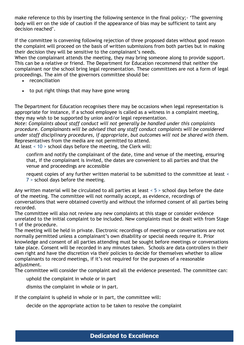make reference to this by inserting the following sentence in the final policy;- 'The governing body will err on the side of caution if the appearance of bias may be sufficient to taint any decision reached'.

If the committee is convening following rejection of three proposed dates without good reason the complaint will proceed on the basis of written submissions from both parties but in making their decision they will be sensitive to the complainant's needs.

When the complainant attends the meeting, they may bring someone along to provide support. This can be a relative or friend. The Department for Education recommend that neither the complainant nor the school bring legal representation. These committees are not a form of legal proceedings. The aim of the governors committee should be:

- reconciliation
- to put right things that may have gone wrong

The Department for Education recognises there may be occasions when legal representation is appropriate for instance, if a school employee is called as a witness in a complaint meeting, they may wish to be supported by union and/or legal representation.

*Note: Complaints about staff conduct will not generally be handled under this complaints procedure. Complainants will be advised that any staff conduct complaints will be considered under staff disciplinary procedures, if appropriate, but outcomes will not be shared with them.*  Representatives from the media are not permitted to attend.

At least < 10 > school days before the meeting, the Clerk will:

confirm and notify the complainant of the date, time and venue of the meeting, ensuring that, if the complainant is invited, the dates are convenient to all parties and that the venue and proceedings are accessible

request copies of any further written material to be submitted to the committee at least < 7 > school days before the meeting.

Any written material will be circulated to all parties at least < 5 > school days before the date of the meeting. The committee will not normally accept, as evidence, recordings of conversations that were obtained covertly and without the informed consent of all parties being recorded.

The committee will also not review any new complaints at this stage or consider evidence unrelated to the initial complaint to be included. New complaints must be dealt with from Stage 1 of the procedure.

The meeting will be held in private. Electronic recordings of meetings or conversations are not normally permitted unless a complainant's own disability or special needs require it. Prior knowledge and consent of all parties attending must be sought before meetings or conversations take place. Consent will be recorded in any minutes taken. Schools are data controllers in their own right and have the discretion via their policies to decide for themselves whether to allow complainants to record meetings, if it's not required for the purposes of a reasonable adjustment.

The committee will consider the complaint and all the evidence presented. The committee can:

uphold the complaint in whole or in part

dismiss the complaint in whole or in part.

If the complaint is upheld in whole or in part, the committee will:

decide on the appropriate action to be taken to resolve the complaint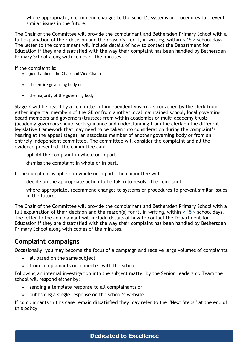where appropriate, recommend changes to the school's systems or procedures to prevent similar issues in the future.

The Chair of the Committee will provide the complainant and Bethersden Primary School with a full explanation of their decision and the reason(s) for it, in writing, within  $\leq 15$  > school days. The letter to the complainant will include details of how to contact the Department for Education if they are dissatisfied with the way their complaint has been handled by Bethersden Primary School along with copies of the minutes.

If the complaint is:

- jointly about the Chair and Vice Chair or
- the entire governing body or
- the majority of the governing body

Stage 2 will be heard by a committee of independent governors convened by the clerk from either impartial members of the GB or from another local maintained school, local governing board members and governors/trustees from within academies or multi academy trusts (academy governors should seek guidance and understanding from the clerk on the different legislative framework that may need to be taken into consideration during the complaint's hearing at the appeal stage), an associate member of another governing body or from an entirely independent committee. The committee will consider the complaint and all the evidence presented. The committee can:

uphold the complaint in whole or in part

dismiss the complaint in whole or in part.

If the complaint is upheld in whole or in part, the committee will:

decide on the appropriate action to be taken to resolve the complaint

where appropriate, recommend changes to systems or procedures to prevent similar issues in the future.

The Chair of the Committee will provide the complainant and Bethersden Primary School with a full explanation of their decision and the reason(s) for it, in writing, within  $\leq 15$  > school days. The letter to the complainant will include details of how to contact the Department for Education if they are dissatisfied with the way their complaint has been handled by Bethersden Primary School along with copies of the minutes.

# **Complaint campaigns**

Occasionally, you may become the focus of a campaign and receive large volumes of complaints:

- all based on the same subject
- from complainants unconnected with the school

Following an internal investigation into the subject matter by the Senior Leadership Team the school will respond either by:

- sending a template response to all complainants or
- publishing a single response on the school's website

If complainants in this case remain dissatisfied they may refer to the "Next Steps" at the end of this policy.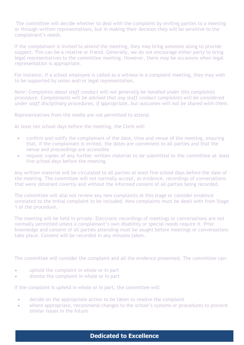The committee will decide whether to deal with the complaint by inviting parties to a meeting or through written representations, but in making their decision they will be sensitive to the complainant's needs.

If the complainant is invited to attend the meeting, they may bring someone along to provide support. This can be a relative or friend. Generally, we do not encourage either party to bring legal representatives to the committee meeting. However, there may be occasions when legal representation is appropriate.

For instance, if a school employee is called as a witness in a complaint meeting, they may wish to be supported by union and/or legal representation.

*Note: Complaints about staff conduct will not generally be handled under this complaints procedure. Complainants will be advised that any staff conduct complaints will be considered under staff disciplinary procedures, if appropriate, but outcomes will not be shared with them.* 

Representatives from the media are not permitted to attend.

At least ten school days before the meeting, the Clerk will:

- confirm and notify the complainant of the date, time and venue of the meeting, ensuring that, if the complainant is invited, the dates are convenient to all parties and that the venue and proceedings are accessible
- request copies of any further written material to be submitted to the committee at least five school days before the meeting.

Any written material will be circulated to all parties at least five school days before the date of the meeting. The committee will not normally accept, as evidence, recordings of conversations that were obtained covertly and without the informed consent of all parties being recorded.

The committee will also not review any new complaints at this stage or consider evidence unrelated to the initial complaint to be included. New complaints must be dealt with from Stage 1 of the procedure.

The meeting will be held in private. Electronic recordings of meetings or conversations are not normally permitted unless a complainant's own disability or special needs require it. Prior knowledge and consent of all parties attending must be sought before meetings or conversations take place. Consent will be recorded in any minutes taken.

The committee will consider the complaint and all the evidence presented. The committee can:

- uphold the complaint in whole or in part
- dismiss the complaint in whole or in part

If the complaint is upheld in whole or in part, the committee will:

- decide on the appropriate action to be taken to resolve the complaint
- where appropriate, recommend changes to the school's systems or procedures to prevent similar issues in the future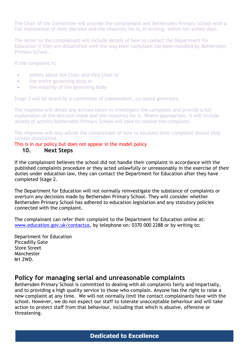The Chair of the Committee will provide the complainant and Bethersden Primary School with a full explanation of their decision and the reason(s) for it, in writing, within ten school days.

The letter to the complainant will include details of how to contact the Department for Education if they are dissatisfied with the way their complaint has been handled by Bethersden Primary School.

If the complaint is:

- jointly about the Chair and Vice Chair or
- the entire governing body or
- the majority of the governing body

Stage 2 will be heard by a committee of independent, co-opted governors.

The response will detail any actions taken to investigate the complaint and provide a full explanation of the decision made and the reason(s) for it. Where appropriate, it will include details of actions Bethersden Primary School will take to resolve the complaint.

The response will also advise the complainant of how to escalate their complaint should they remain dissatisfied.

#### This is in our policy but does not appear in the model policy

#### **10. Next Steps**

If the complainant believes the school did not handle their complaint in accordance with the published complaints procedure or they acted unlawfully or unreasonably in the exercise of their duties under education law, they can contact the Department for Education after they have completed Stage 2.

The Department for Education will not normally reinvestigate the substance of complaints or overturn any decisions made by Bethersden Primary School. They will consider whether Bethersden Primary School has adhered to education legislation and any statutory policies connected with the complaint.

The complainant can refer their complaint to the Department for Education online at: [www.education.gov.uk/contactus,](http://www.education.gov.uk/contactus) by telephone on: 0370 000 2288 or by writing to:

Department for Education Piccadilly Gate Store Street Manchester M1 2WD.

### **Policy for managing serial and unreasonable complaints**

Bethersden Primary School is committed to dealing with all complaints fairly and impartially, and to providing a high quality service to those who complain. Anyone has the right to raise a new complaint at any time. We will not normally limit the contact complainants have with the school. However, we do not expect our staff to tolerate unacceptable behaviour and will take action to protect staff from that behaviour, including that which is abusive, offensive or threatening.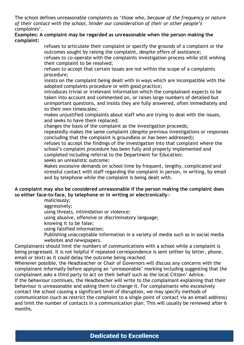The school defines unreasonable complaints as '*those who, because of the frequency or nature of their contact with the school, hinder our consideration of their or other people's complaints*'.

#### **Examples: A complaint may be regarded as unreasonable when the person making the complaint:**

refuses to articulate their complaint or specify the grounds of a complaint or the outcomes sought by raising the complaint, despite offers of assistance; refuses to co-operate with the complaints investigation process while still wishing

their complaint to be resolved;

refuses to accept that certain issues are not within the scope of a complaints procedure;

insists on the complaint being dealt with in ways which are incompatible with the adopted complaints procedure or with good practice;

introduces trivial or irrelevant information which the complainant expects to be taken into account and commented on, or raises large numbers of detailed but unimportant questions, and insists they are fully answered, often immediately and to their own timescales;

makes unjustified complaints about staff who are trying to deal with the issues, and seeks to have them replaced;

changes the basis of the complaint as the investigation proceeds;

repeatedly makes the same complaint (despite previous investigations or responses concluding that the complaint is groundless or has been addressed);

refuses to accept the findings of the investigation into that complaint where the school's complaint procedure has been fully and properly implemented and completed including referral to the Department for Education;

seeks an unrealistic outcome;

Makes excessive demands on school time by frequent, lengthy, complicated and stressful contact with staff regarding the complaint in person, in writing, by email and by telephone while the complaint is being dealt with.

#### **A complaint may also be considered unreasonable if the person making the complaint does so either face-to-face, by telephone or in writing or electronically**:-

maliciously;

aggressively;

using threats, intimidation or violence;

using abusive, offensive or discriminatory language;

knowing it to be false;

using falsified information;

Publishing unacceptable information in a variety of media such as in social media websites and newspapers.

Complainants should limit the numbers of communications with a school while a complaint is being progressed. It is not helpful if repeated correspondence is sent (either by letter, phone, email or text) as it could delay the outcome being reached.

Whenever possible, the Headteacher or Chair of Governors will discuss any concerns with the complainant informally before applying an 'unreasonable' marking including suggesting that the complainant asks a third party to act on their behalf such as the local Citizen' Advice. If the behaviour continues, the Headteacher will write to the complainant explaining that their behaviour is unreasonable and asking them to change it. For complainants who excessively contact the school causing a significant level of disruption, we may specify methods of communication (such as restrict the complaint to a single point of contact via an email address) and limit the number of contacts in a communication plan. This will usually be reviewed after 6 months.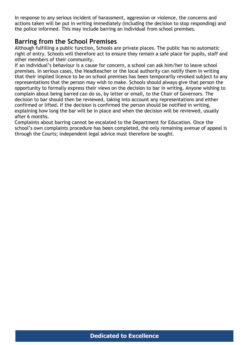In response to any serious incident of harassment, aggression or violence, the concerns and actions taken will be put in writing immediately (including the decision to stop responding) and the police informed. This may include barring an individual from school premises.

## **Barring from the School Premises**

Although fulfilling a public function, Schools are private places. The public has no automatic right of entry. Schools will therefore act to ensure they remain a safe place for pupils, staff and other members of their community.

If an individual's behaviour is a cause for concern, a school can ask him/her to leave school premises. In serious cases, the Headteacher or the local authority can notify them in writing that their implied licence to be on school premises has been temporarily revoked subject to any representations that the person may wish to make. Schools should always give that person the opportunity to formally express their views on the decision to bar in writing. Anyone wishing to complain about being barred can do so, by letter or email, to the Chair of Governors. The decision to bar should then be reviewed, taking into account any representations and either confirmed or lifted. If the decision is confirmed the person should be notified in writing, explaining how long the bar will be in place and when the decision will be reviewed, usually after 6 months.

Complaints about barring cannot be escalated to the Department for Education. Once the school's own complaints procedure has been completed, the only remaining avenue of appeal is through the Courts; independent legal advice must therefore be sought.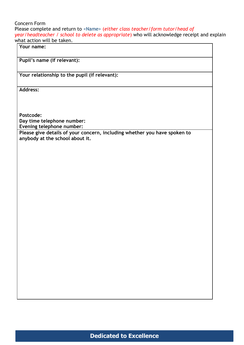Concern Form Please complete and return to <Name> (*either class teacher/form tutor/head of year/headteacher / school to delete as appropriate*) who will acknowledge receipt and explain what action will be taken.

**Your name:**

**Pupil's name (if relevant):**

**Your relationship to the pupil (if relevant):**

**Address:** 

**Postcode:**

**Day time telephone number:**

**Evening telephone number:**

**Please give details of your concern, including whether you have spoken to anybody at the school about it.**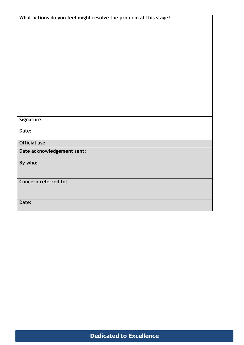| What actions do you feel might resolve the problem at this stage? |  |  |
|-------------------------------------------------------------------|--|--|
|                                                                   |  |  |
|                                                                   |  |  |
|                                                                   |  |  |
|                                                                   |  |  |
|                                                                   |  |  |
|                                                                   |  |  |
|                                                                   |  |  |
|                                                                   |  |  |
|                                                                   |  |  |
|                                                                   |  |  |
|                                                                   |  |  |
|                                                                   |  |  |
| Signature:                                                        |  |  |
| Date:                                                             |  |  |
|                                                                   |  |  |
| <b>Official use</b>                                               |  |  |
| Date acknowledgement sent:                                        |  |  |
| By who:                                                           |  |  |
|                                                                   |  |  |
| Concern referred to:                                              |  |  |
|                                                                   |  |  |
|                                                                   |  |  |
| Date:                                                             |  |  |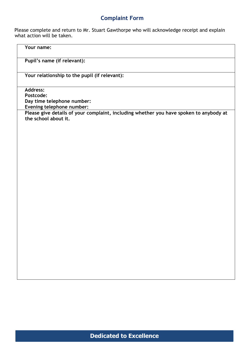# **Complaint Form**

Please complete and return to Mr. Stuart Gawthorpe who will acknowledge receipt and explain what action will be taken.

| Your name:                                                                                                                                                                                                |  |
|-----------------------------------------------------------------------------------------------------------------------------------------------------------------------------------------------------------|--|
| Pupil's name (if relevant):                                                                                                                                                                               |  |
| Your relationship to the pupil (if relevant):                                                                                                                                                             |  |
| <b>Address:</b><br>Postcode:<br>Day time telephone number:<br>Evening telephone number:<br>Please give details of your complaint, including whether you have spoken to anybody at<br>the school about it. |  |
|                                                                                                                                                                                                           |  |
|                                                                                                                                                                                                           |  |
|                                                                                                                                                                                                           |  |
|                                                                                                                                                                                                           |  |
|                                                                                                                                                                                                           |  |
|                                                                                                                                                                                                           |  |
|                                                                                                                                                                                                           |  |
|                                                                                                                                                                                                           |  |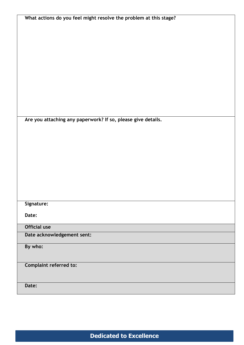| What actions do you feel might resolve the problem at this stage? |
|-------------------------------------------------------------------|
|                                                                   |
|                                                                   |
|                                                                   |
|                                                                   |
|                                                                   |
|                                                                   |
|                                                                   |
|                                                                   |
|                                                                   |
|                                                                   |
|                                                                   |
|                                                                   |
|                                                                   |
|                                                                   |
|                                                                   |
| Are you attaching any paperwork? If so, please give details.      |
|                                                                   |
|                                                                   |
|                                                                   |
|                                                                   |
|                                                                   |
|                                                                   |
|                                                                   |
|                                                                   |
|                                                                   |
|                                                                   |
|                                                                   |
|                                                                   |
| Signature:                                                        |
|                                                                   |
| Date:                                                             |
| <b>Official use</b>                                               |
|                                                                   |
| Date acknowledgement sent:                                        |
|                                                                   |
| By who:                                                           |
|                                                                   |
|                                                                   |
| <b>Complaint referred to:</b>                                     |
|                                                                   |
|                                                                   |
| Date:                                                             |
|                                                                   |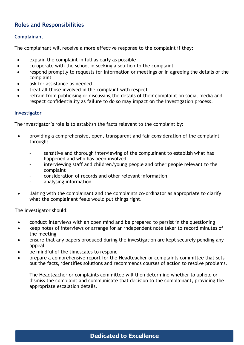## **Roles and Responsibilities**

#### **Complainant**

The complainant will receive a more effective response to the complaint if they:

- explain the complaint in full as early as possible
- co-operate with the school in seeking a solution to the complaint
- respond promptly to requests for information or meetings or in agreeing the details of the complaint
- ask for assistance as needed
- treat all those involved in the complaint with respect
- refrain from publicising or discussing the details of their complaint on social media and respect confidentiality as failure to do so may impact on the investigation process.

#### **Investigator**

The investigator's role is to establish the facts relevant to the complaint by:

- providing a comprehensive, open, transparent and fair consideration of the complaint through:
	- sensitive and thorough interviewing of the complainant to establish what has happened and who has been involved
	- interviewing staff and children/young people and other people relevant to the complaint
	- consideration of records and other relevant information
	- analysing information
- liaising with the complainant and the complaints co-ordinator as appropriate to clarify what the complainant feels would put things right.

The investigator should:

- conduct interviews with an open mind and be prepared to persist in the questioning
- keep notes of interviews or arrange for an independent note taker to record minutes of the meeting
- ensure that any papers produced during the investigation are kept securely pending any appeal
- be mindful of the timescales to respond
- prepare a comprehensive report for the Headteacher or complaints committee that sets out the facts, identifies solutions and recommends courses of action to resolve problems.

The Headteacher or complaints committee will then determine whether to uphold or dismiss the complaint and communicate that decision to the complainant, providing the appropriate escalation details.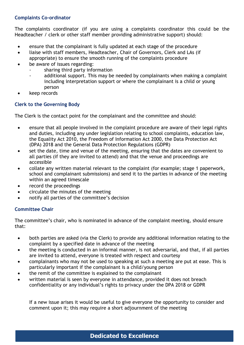#### **Complaints Co-ordinator**

The complaints coordinator (if you are using a complaints coordinator this could be the Headteacher / clerk or other staff member providing administrative support) should:

- ensure that the complainant is fully updated at each stage of the procedure
- liaise with staff members, Headteacher, Chair of Governors, Clerk and LAs (if
	- appropriate) to ensure the smooth running of the complaints procedure
- be aware of issues regarding:
	- sharing third party information
	- additional support. This may be needed by complainants when making a complaint including interpretation support or where the complainant is a child or young person
- keep records

#### **Clerk to the Governing Body**

The Clerk is the contact point for the complainant and the committee and should:

- ensure that all people involved in the complaint procedure are aware of their legal rights and duties, including any under legislation relating to school complaints, education law, the Equality Act 2010, the Freedom of Information Act 2000, the Data Protection Act (DPA) 2018 and the General Data Protection Regulations (GDPR)
- set the date, time and venue of the meeting, ensuring that the dates are convenient to all parties (if they are invited to attend) and that the venue and proceedings are accessible
- collate any written material relevant to the complaint (for example; stage 1 paperwork, school and complainant submissions) and send it to the parties in advance of the meeting within an agreed timescale
- record the proceedings
- circulate the minutes of the meeting
- notify all parties of the committee's decision

#### **Committee Chair**

The committee's chair, who is nominated in advance of the complaint meeting, should ensure that:

- both parties are asked (via the Clerk) to provide any additional information relating to the complaint by a specified date in advance of the meeting
- the meeting is conducted in an informal manner, is not adversarial, and that, if all parties are invited to attend, everyone is treated with respect and courtesy
- complainants who may not be used to speaking at such a meeting are put at ease. This is particularly important if the complainant is a child/young person
- the remit of the committee is explained to the complainant
- written material is seen by everyone in attendance, provided it does not breach confidentiality or any individual's rights to privacy under the DPA 2018 or GDPR

If a new issue arises it would be useful to give everyone the opportunity to consider and comment upon it; this may require a short adjournment of the meeting